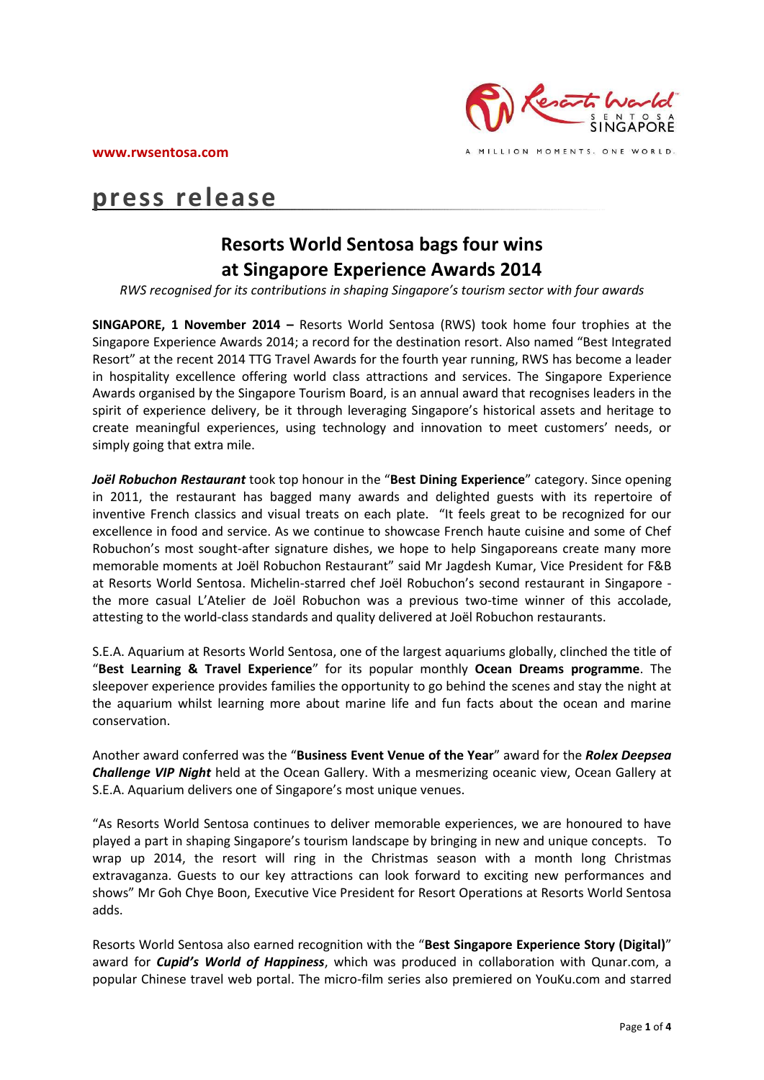

# **press release**

## **Resorts World Sentosa bags four wins at Singapore Experience Awards 2014**

*RWS recognised for its contributions in shaping Singapore's tourism sector with four awards*

**SINGAPORE, 1 November 2014 –** Resorts World Sentosa (RWS) took home four trophies at the Singapore Experience Awards 2014; a record for the destination resort. Also named "Best Integrated Resort" at the recent 2014 TTG Travel Awards for the fourth year running, RWS has become a leader in hospitality excellence offering world class attractions and services. The Singapore Experience Awards organised by the Singapore Tourism Board, is an annual award that recognises leaders in the spirit of experience delivery, be it through leveraging Singapore's historical assets and heritage to create meaningful experiences, using technology and innovation to meet customers' needs, or simply going that extra mile.

*Joël Robuchon Restaurant* took top honour in the "**Best Dining Experience**" category. Since opening in 2011, the restaurant has bagged many awards and delighted guests with its repertoire of inventive French classics and visual treats on each plate. "It feels great to be recognized for our excellence in food and service. As we continue to showcase French haute cuisine and some of Chef Robuchon's most sought-after signature dishes, we hope to help Singaporeans create many more memorable moments at Joël Robuchon Restaurant" said Mr Jagdesh Kumar, Vice President for F&B at Resorts World Sentosa. Michelin-starred chef Joël Robuchon's second restaurant in Singapore the more casual L'Atelier de Joël Robuchon was a previous two-time winner of this accolade, attesting to the world-class standards and quality delivered at Joël Robuchon restaurants.

S.E.A. Aquarium at Resorts World Sentosa, one of the largest aquariums globally, clinched the title of "**Best Learning & Travel Experience**" for its popular monthly **Ocean Dreams programme**. The sleepover experience provides families the opportunity to go behind the scenes and stay the night at the aquarium whilst learning more about marine life and fun facts about the ocean and marine conservation.

Another award conferred was the "**Business Event Venue of the Year**" award for the *Rolex Deepsea Challenge VIP Night* held at the Ocean Gallery. With a mesmerizing oceanic view, Ocean Gallery at S.E.A. Aquarium delivers one of Singapore's most unique venues.

"As Resorts World Sentosa continues to deliver memorable experiences, we are honoured to have played a part in shaping Singapore's tourism landscape by bringing in new and unique concepts. To wrap up 2014, the resort will ring in the Christmas season with a month long Christmas extravaganza. Guests to our key attractions can look forward to exciting new performances and shows" Mr Goh Chye Boon, Executive Vice President for Resort Operations at Resorts World Sentosa adds.

Resorts World Sentosa also earned recognition with the "**Best Singapore Experience Story (Digital)**" award for *Cupid's World of Happiness*, which was produced in collaboration with Qunar.com, a popular Chinese travel web portal. The micro-film series also premiered on YouKu.com and starred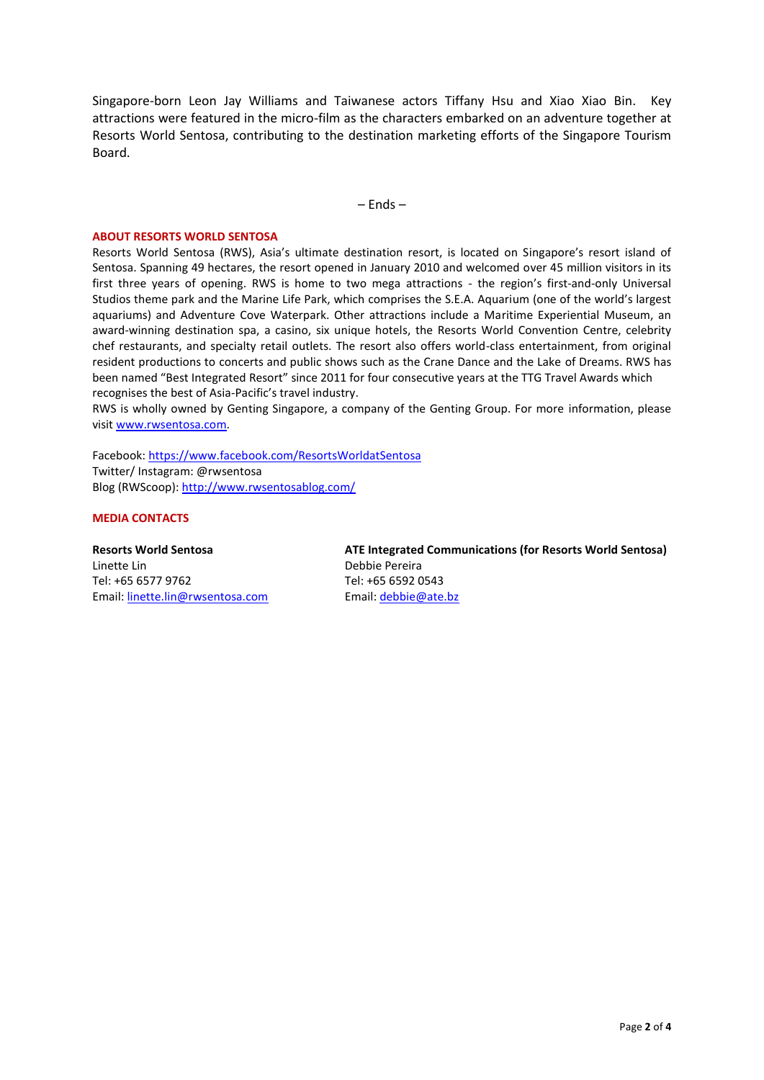Singapore-born Leon Jay Williams and Taiwanese actors Tiffany Hsu and Xiao Xiao Bin. Key attractions were featured in the micro-film as the characters embarked on an adventure together at Resorts World Sentosa, contributing to the destination marketing efforts of the Singapore Tourism Board.

– Ends –

#### **ABOUT RESORTS WORLD SENTOSA**

Resorts World Sentosa (RWS), Asia's ultimate destination resort, is located on Singapore's resort island of Sentosa. Spanning 49 hectares, the resort opened in January 2010 and welcomed over 45 million visitors in its first three years of opening. RWS is home to two mega attractions - the region's first-and-only Universal Studios theme park and the Marine Life Park, which comprises the S.E.A. Aquarium (one of the world's largest aquariums) and Adventure Cove Waterpark. Other attractions include a Maritime Experiential Museum, an award-winning destination spa, a casino, six unique hotels, the Resorts World Convention Centre, celebrity chef restaurants, and specialty retail outlets. The resort also offers world-class entertainment, from original resident productions to concerts and public shows such as the Crane Dance and the Lake of Dreams. RWS has been named "Best Integrated Resort" since 2011 for four consecutive years at the TTG Travel Awards which recognises the best of Asia-Pacific's travel industry.

RWS is wholly owned by Genting Singapore, a company of the Genting Group. For more information, please visi[t www.rwsentosa.com.](http://www.rwsentosa.com/)

Facebook:<https://www.facebook.com/ResortsWorldatSentosa> Twitter/ Instagram: @rwsentosa Blog (RWScoop):<http://www.rwsentosablog.com/>

#### **MEDIA CONTACTS**

**Resorts World Sentosa** Linette Lin Tel: +65 6577 9762 Email: [linette.lin@rwsentosa.com](mailto:linette.lin@rwsentosa.com) **ATE Integrated Communications (for Resorts World Sentosa)** Debbie Pereira Tel: +65 6592 0543 Email: [debbie@ate.bz](mailto:debbie@ate.bz)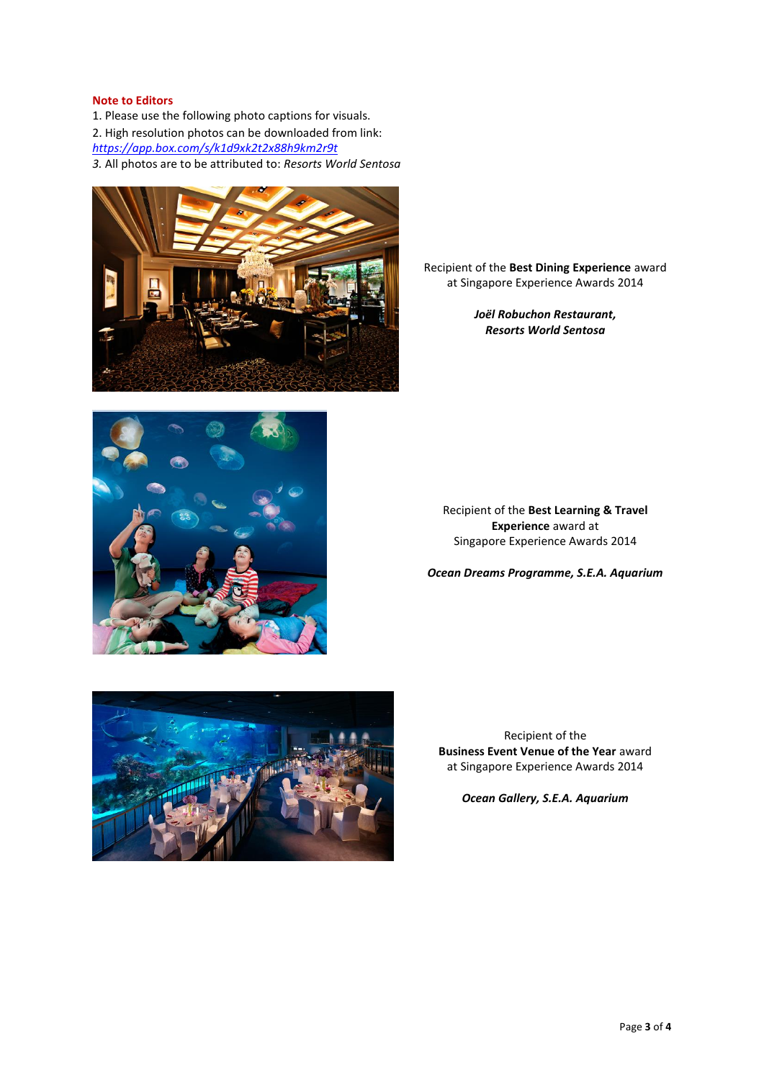### **Note to Editors**

1. Please use the following photo captions for visuals. 2. High resolution photos can be downloaded from link: *<https://app.box.com/s/k1d9xk2t2x88h9km2r9t> 3.* All photos are to be attributed to: *Resorts World Sentosa* 

Recipient of the **Best Dining Experience** award at Singapore Experience Awards 2014

> *Joël Robuchon Restaurant, Resorts World Sentosa*



Recipient of the **Best Learning & Travel Experience** award at Singapore Experience Awards 2014

*Ocean Dreams Programme, S.E.A. Aquarium* 



Recipient of the **Business Event Venue of the Year** award at Singapore Experience Awards 2014

*Ocean Gallery, S.E.A. Aquarium*